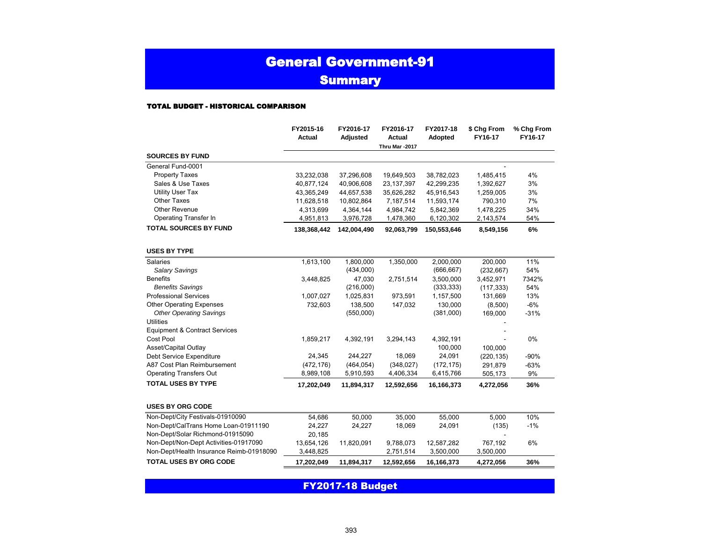### General Government-91

**Summary** 

#### TOTAL BUDGET - HISTORICAL COMPARISON

|                                          | FY2015-16<br><b>Actual</b> | FY2016-17<br>Adjusted | FY2016-17<br><b>Actual</b> | FY2017-18<br>Adopted | \$ Chg From<br>FY16-17 | % Chg From<br>FY16-17 |  |
|------------------------------------------|----------------------------|-----------------------|----------------------------|----------------------|------------------------|-----------------------|--|
|                                          |                            |                       | Thru Mar -2017             |                      |                        |                       |  |
| <b>SOURCES BY FUND</b>                   |                            |                       |                            |                      |                        |                       |  |
| General Fund-0001                        |                            |                       |                            |                      |                        |                       |  |
| <b>Property Taxes</b>                    | 33,232,038                 | 37,296,608            | 19,649,503                 | 38,782,023           | 1,485,415              | 4%                    |  |
| Sales & Use Taxes                        | 40,877,124                 | 40,906,608            | 23, 137, 397               | 42,299,235           | 1,392,627              | 3%                    |  |
| <b>Utility User Tax</b>                  | 43,365,249                 | 44,657,538            | 35,626,282                 | 45,916,543           | 1,259,005              | 3%                    |  |
| <b>Other Taxes</b>                       | 11,628,518                 | 10,802,864            | 7,187,514                  | 11,593,174           | 790,310                | 7%                    |  |
| <b>Other Revenue</b>                     | 4,313,699                  | 4,364,144             | 4,984,742                  | 5,842,369            | 1,478,225              | 34%                   |  |
| Operating Transfer In                    | 4,951,813                  | 3,976,728             | 1,478,360                  | 6,120,302            | 2,143,574              | 54%                   |  |
| TOTAL SOURCES BY FUND                    | 138,368,442                | 142,004,490           | 92,063,799                 | 150,553,646          | 8,549,156              | 6%                    |  |
| <b>USES BY TYPE</b>                      |                            |                       |                            |                      |                        |                       |  |
| Salaries                                 | 1,613,100                  | 1,800,000             | 1,350,000                  | 2,000,000            | 200,000                | 11%                   |  |
| <b>Salary Savings</b>                    |                            | (434,000)             |                            | (666, 667)           | (232, 667)             | 54%                   |  |
| <b>Benefits</b>                          | 3,448,825                  | 47,030                | 2,751,514                  | 3,500,000            | 3,452,971              | 7342%                 |  |
| <b>Benefits Savings</b>                  |                            | (216,000)             |                            | (333, 333)           | (117, 333)             | 54%                   |  |
| <b>Professional Services</b>             | 1,007,027                  | 1,025,831             | 973,591                    | 1,157,500            | 131,669                | 13%                   |  |
| <b>Other Operating Expenses</b>          | 732,603                    | 138,500               | 147,032                    | 130,000              | (8,500)                | $-6%$                 |  |
| <b>Other Operating Savings</b>           |                            | (550,000)             |                            | (381,000)            | 169,000                | $-31%$                |  |
| <b>Utilities</b>                         |                            |                       |                            |                      |                        |                       |  |
| <b>Equipment &amp; Contract Services</b> |                            |                       |                            |                      |                        |                       |  |
| Cost Pool                                | 1,859,217                  | 4,392,191             | 3,294,143                  | 4,392,191            |                        | 0%                    |  |
| Asset/Capital Outlay                     |                            |                       |                            | 100,000              | 100,000                |                       |  |
| Debt Service Expenditure                 | 24,345                     | 244,227               | 18,069                     | 24,091               | (220, 135)             | $-90%$                |  |
| A87 Cost Plan Reimbursement              | (472, 176)                 | (464, 054)            | (348, 027)                 | (172, 175)           | 291,879                | $-63%$                |  |
| <b>Operating Transfers Out</b>           | 8,989,108                  | 5,910,593             | 4,406,334                  | 6,415,766            | 505,173                | 9%                    |  |
| <b>TOTAL USES BY TYPE</b>                | 17,202,049                 | 11,894,317            | 12,592,656                 | 16,166,373           | 4,272,056              | 36%                   |  |
| <b>USES BY ORG CODE</b>                  |                            |                       |                            |                      |                        |                       |  |
| Non-Dept/City Festivals-01910090         | 54,686                     | 50,000                | 35,000                     | 55,000               | 5,000                  | 10%                   |  |
| Non-Dept/CalTrans Home Loan-01911190     | 24,227                     | 24,227                | 18,069                     | 24,091               | (135)                  | $-1%$                 |  |
| Non-Dept/Solar Richmond-01915090         | 20,185                     |                       |                            |                      |                        |                       |  |
| Non-Dept/Non-Dept Activities-01917090    | 13,654,126                 | 11,820,091            | 9,788,073                  | 12,587,282           | 767,192                | 6%                    |  |
| Non-Dept/Health Insurance Reimb-01918090 | 3,448,825                  |                       | 2,751,514                  | 3,500,000            | 3,500,000              |                       |  |
| TOTAL USES BY ORG CODE                   | 17,202,049                 | 11,894,317            | 12,592,656                 | 16,166,373           | 4,272,056              | 36%                   |  |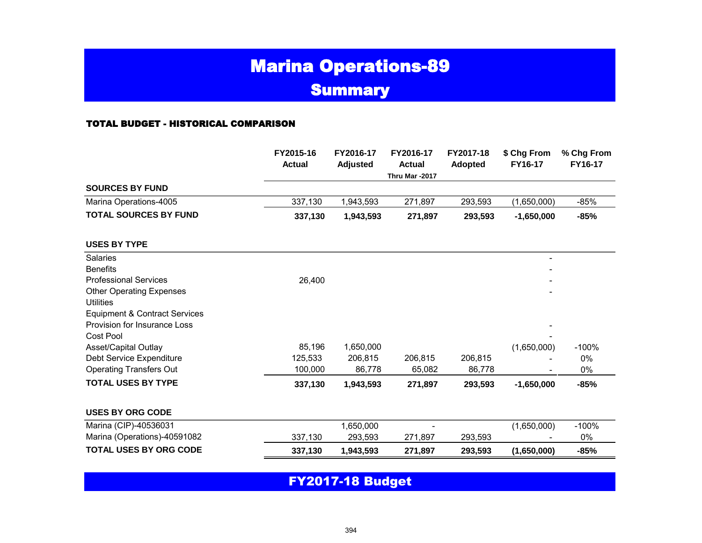# Marina Operations-89 **Summary**

#### TOTAL BUDGET - HISTORICAL COMPARISON

|                                                                          | FY2015-16<br><b>Actual</b> | FY2016-17<br><b>Adjusted</b> | FY2016-17<br><b>Actual</b><br>Thru Mar -2017 | FY2017-18<br><b>Adopted</b> | \$ Chg From<br>FY16-17 | % Chg From<br>FY16-17 |  |
|--------------------------------------------------------------------------|----------------------------|------------------------------|----------------------------------------------|-----------------------------|------------------------|-----------------------|--|
| <b>SOURCES BY FUND</b>                                                   |                            |                              |                                              |                             |                        |                       |  |
| Marina Operations-4005                                                   | 337,130                    | 1,943,593                    | 271,897                                      | 293,593                     | (1,650,000)            | $-85%$                |  |
| <b>TOTAL SOURCES BY FUND</b>                                             | 337,130                    | 1,943,593                    | 271,897                                      | 293,593                     | $-1,650,000$           | $-85%$                |  |
| <b>USES BY TYPE</b>                                                      |                            |                              |                                              |                             |                        |                       |  |
| Salaries                                                                 |                            |                              |                                              |                             | $\qquad \qquad -$      |                       |  |
| <b>Benefits</b>                                                          |                            |                              |                                              |                             |                        |                       |  |
| <b>Professional Services</b>                                             | 26,400                     |                              |                                              |                             |                        |                       |  |
| <b>Other Operating Expenses</b>                                          |                            |                              |                                              |                             |                        |                       |  |
| <b>Utilities</b>                                                         |                            |                              |                                              |                             |                        |                       |  |
| <b>Equipment &amp; Contract Services</b><br>Provision for Insurance Loss |                            |                              |                                              |                             |                        |                       |  |
| Cost Pool                                                                |                            |                              |                                              |                             |                        |                       |  |
| Asset/Capital Outlay                                                     | 85,196                     | 1,650,000                    |                                              |                             | (1,650,000)            | $-100%$               |  |
| Debt Service Expenditure                                                 | 125,533                    | 206,815                      | 206,815                                      | 206,815                     |                        | 0%                    |  |
| <b>Operating Transfers Out</b>                                           | 100,000                    | 86,778                       | 65,082                                       | 86,778                      |                        | 0%                    |  |
| <b>TOTAL USES BY TYPE</b>                                                | 337,130                    | 1,943,593                    | 271,897                                      | 293,593                     | $-1,650,000$           | $-85%$                |  |
| <b>USES BY ORG CODE</b>                                                  |                            |                              |                                              |                             |                        |                       |  |
| Marina (CIP)-40536031                                                    |                            | 1,650,000                    | $\blacksquare$                               |                             | (1,650,000)            | $-100%$               |  |
| Marina (Operations)-40591082                                             | 337,130                    | 293,593                      | 271,897                                      | 293,593                     |                        | 0%                    |  |
| <b>TOTAL USES BY ORG CODE</b>                                            | 337,130                    | 1,943,593                    | 271,897                                      | 293,593                     | (1,650,000)            | $-85%$                |  |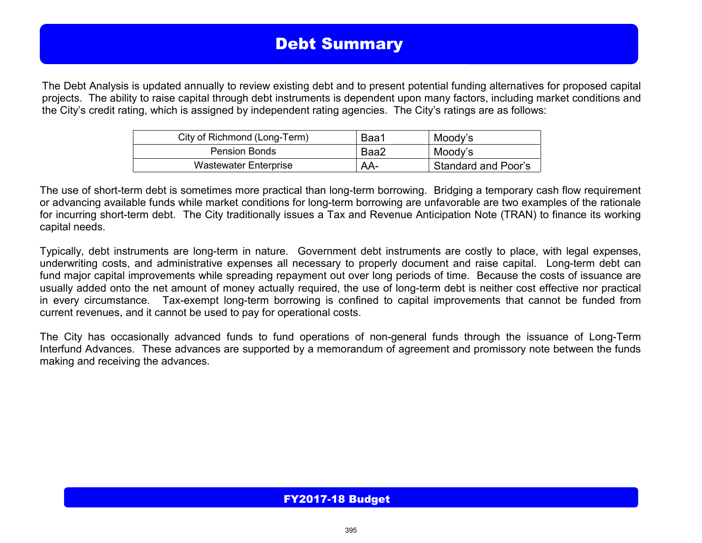# Debt Summary

The Debt Analysis is updated annually to review existing debt and to present potential funding alternatives for proposed capital projects. The ability to raise capital through debt instruments is dependent upon many factors, including market conditions and the City's credit rating, which is assigned by independent rating agencies. The City's ratings are as follows:

| City of Richmond (Long-Term) | Baa1 | Moody's             |
|------------------------------|------|---------------------|
| <b>Pension Bonds</b>         | Baa2 | Moody's             |
| <b>Wastewater Enterprise</b> | AA-  | Standard and Poor's |

The use of short-term debt is sometimes more practical than long-term borrowing. Bridging a temporary cash flow requirement or advancing available funds while market conditions for long-term borrowing are unfavorable are two examples of the rationale for incurring short-term debt. The City traditionally issues a Tax and Revenue Anticipation Note (TRAN) to finance its working capital needs.

Typically, debt instruments are long-term in nature. Government debt instruments are costly to place, with legal expenses, underwriting costs, and administrative expenses all necessary to properly document and raise capital. Long-term debt can fund major capital improvements while spreading repayment out over long periods of time. Because the costs of issuance are usually added onto the net amount of money actually required, the use of long-term debt is neither cost effective nor practical in every circumstance. Tax-exempt long-term borrowing is confined to capital improvements that cannot be funded from current revenues, and it cannot be used to pay for operational costs.

The City has occasionally advanced funds to fund operations of non-general funds through the issuance of Long-Term Interfund Advances. These advances are supported by a memorandum of agreement and promissory note between the funds making and receiving the advances.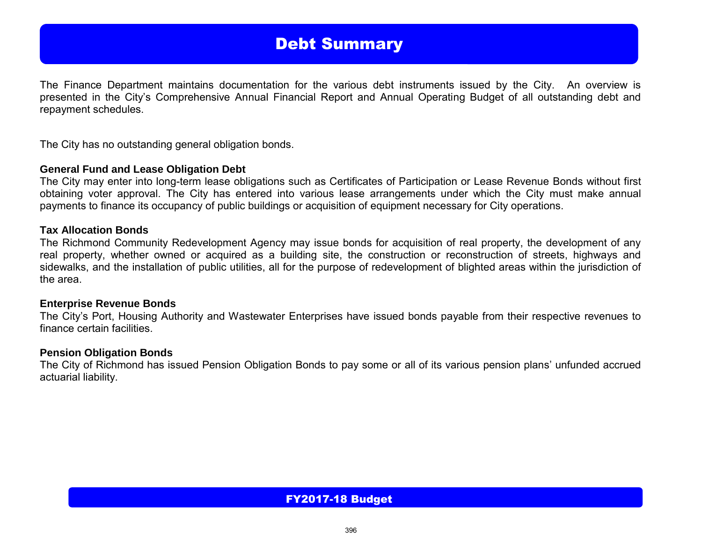## Debt Summary

The Finance Department maintains documentation for the various debt instruments issued by the City. An overview is presented in the City's Comprehensive Annual Financial Report and Annual Operating Budget of all outstanding debt and repayment schedules.

The City has no outstanding general obligation bonds.

#### **General Fund and Lease Obligation Debt**

The City may enter into long-term lease obligations such as Certificates of Participation or Lease Revenue Bonds without first obtaining voter approval. The City has entered into various lease arrangements under which the City must make annual payments to finance its occupancy of public buildings or acquisition of equipment necessary for City operations.

#### **Tax Allocation Bonds**

The Richmond Community Redevelopment Agency may issue bonds for acquisition of real property, the development of any real property, whether owned or acquired as a building site, the construction or reconstruction of streets, highways and sidewalks, and the installation of public utilities, all for the purpose of redevelopment of blighted areas within the jurisdiction of the area.

#### **Enterprise Revenue Bonds**

The City's Port, Housing Authority and Wastewater Enterprises have issued bonds payable from their respective revenues to finance certain facilities.

#### **Pension Obligation Bonds**

The City of Richmond has issued Pension Obligation Bonds to pay some or all of its various pension plans' unfunded accrued actuarial liability.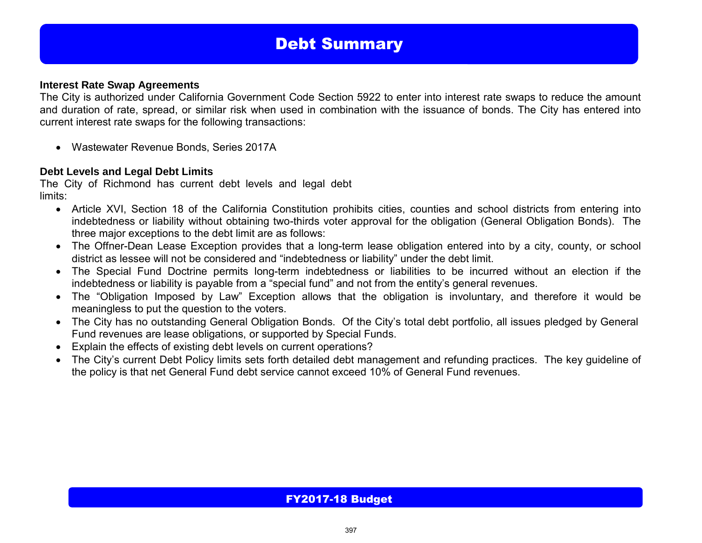# Debt Summary

#### **Interest Rate Swap Agreements**

The City is authorized under California Government Code Section 5922 to enter into interest rate swaps to reduce the amount and duration of rate, spread, or similar risk when used in combination with the issuance of bonds. The City has entered into current interest rate swaps for the following transactions:

Wastewater Revenue Bonds, Series 2017A

#### **Debt Levels and Legal Debt Limits**

The City of Richmond has current debt levels and legal debt limits:

- Article XVI, Section 18 of the California Constitution prohibits cities, counties and school districts from entering into indebtedness or liability without obtaining two-thirds voter approval for the obligation (General Obligation Bonds). The three major exceptions to the debt limit are as follows:
- The Offner-Dean Lease Exception provides that a long-term lease obligation entered into by a city, county, or school district as lessee will not be considered and "indebtedness or liability" under the debt limit.
- The Special Fund Doctrine permits long-term indebtedness or liabilities to be incurred without an election if the indebtedness or liability is payable from a "special fund" and not from the entity's general revenues.
- The "Obligation Imposed by Law" Exception allows that the obligation is involuntary, and therefore it would be meaningless to put the question to the voters.
- The City has no outstanding General Obligation Bonds. Of the City's total debt portfolio, all issues pledged by General Fund revenues are lease obligations, or supported by Special Funds.
- Explain the effects of existing debt levels on current operations?
- The City's current Debt Policy limits sets forth detailed debt management and refunding practices. The key guideline of the policy is that net General Fund debt service cannot exceed 10% of General Fund revenues.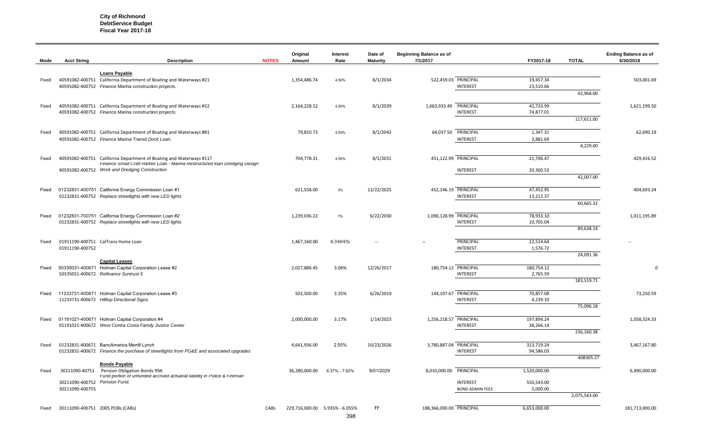**City of Richmond DebtService Budget Fiscal Year 2017-18** 

| Mode  | <b>Acct String</b>                 | <b>Description</b>                                                                        | <b>NOTES</b> | Original<br>Amount             | Interest<br>Rate | Date of<br><b>Maturity</b> | <b>Beginning Balance as of</b><br>7/1/2017 |                                           | FY2017-18              | <b>TOTAL</b> | <b>Ending Balance as of</b><br>6/30/2018 |
|-------|------------------------------------|-------------------------------------------------------------------------------------------|--------------|--------------------------------|------------------|----------------------------|--------------------------------------------|-------------------------------------------|------------------------|--------------|------------------------------------------|
|       |                                    | <b>Loans Payable</b>                                                                      |              |                                |                  |                            |                                            |                                           |                        |              |                                          |
| Fixed |                                    | 40591082-400751 California Department of Boating and Waterways #21                        |              | 1,354,486.74                   | 4.50%            | 8/1/2034                   |                                            | 522,459.03 PRINCIPAL                      | 19,457.34              |              | 503,001.69                               |
|       |                                    | 40591082-400752 Finance Marina construction projects.                                     |              |                                |                  |                            |                                            | INTEREST                                  | 23,510.66              |              |                                          |
|       |                                    |                                                                                           |              |                                |                  |                            |                                            |                                           |                        | 42,968.00    |                                          |
| Fixed |                                    | 40591082-400751 California Department of Boating and Waterways #22                        |              | 2,164,228.52                   | 4.50%            | 8/1/2039                   | 1,663,933.49 PRINCIPAL                     |                                           | 42,733.99              |              | 1,621,199.50                             |
|       |                                    | 40591082-400752 Finance Marina construction projects.                                     |              |                                |                  |                            |                                            | <b>INTEREST</b>                           | 74,877.01              |              |                                          |
|       |                                    |                                                                                           |              |                                |                  |                            |                                            |                                           |                        | 117,611.00   |                                          |
| Fixed |                                    | 40591082-400751 California Department of Boating and Waterways #81                        |              | 79,810.73                      | 4.50%            | 8/1/2042                   |                                            | 64,037.50 PRINCIPAL                       | 1,347.31               |              | 62,690.19                                |
|       |                                    | 40591082-400752 Finance Marina Transit Dock Loan.                                         |              |                                |                  |                            |                                            | <b>INTEREST</b>                           | 2,881.69               |              |                                          |
|       |                                    |                                                                                           |              |                                |                  |                            |                                            |                                           |                        | 4,229.00     |                                          |
| Fixed |                                    | 40591082-400751 California Department of Boating and Waterways #117                       |              | 704,778.31                     | 4.50%            | 8/1/2031                   | 451,122.99 PRINCIPAL                       |                                           | 21,706.47              |              | 429,416.52                               |
|       |                                    | Finance Small Craft Harbor Loan - Marina Restructured Ioan Dredging Design                |              |                                |                  |                            |                                            |                                           |                        |              |                                          |
|       |                                    | 40591082-400752 Work and Dredging Construction                                            |              |                                |                  |                            |                                            | INTEREST                                  | 20,300.53              |              |                                          |
|       |                                    |                                                                                           |              |                                |                  |                            |                                            |                                           |                        | 42,007.00    |                                          |
| Fixed |                                    | 01232831-400751 California Energy Commission Loan #1                                      |              | 621,558.00                     | 3%               | 12/22/2025                 | 452,146.19 PRINCIPAL                       |                                           | 47,452.95              |              | 404,693.24                               |
|       |                                    | 01232831-400752 Replace streetlights with new LED lights                                  |              |                                |                  |                            |                                            | <b>INTEREST</b>                           | 13,212.37              |              |                                          |
|       |                                    |                                                                                           |              |                                |                  |                            |                                            |                                           |                        | 60,665.32    |                                          |
| Fixed |                                    | 01232831-700751 California Energy Commission Loan #2                                      |              | 1,239,036.22                   | $1\%$            | 6/22/2030                  | 1,090,128.99 PRINCIPAL                     |                                           | 78,933.10              |              | 1,011,195.89                             |
|       |                                    | 01232831-400752 Replace streetlights with new LED lights                                  |              |                                |                  |                            |                                            | INTEREST                                  | 10,705.04              |              |                                          |
|       |                                    |                                                                                           |              |                                |                  |                            |                                            |                                           |                        | 89,638.14    |                                          |
| Fixed |                                    | 01911190-400751 CalTrans Home Loan                                                        |              | 1,467,160.00                   | 0.3404%          |                            | $\overline{\phantom{a}}$                   | PRINCIPAL                                 | 22,514.64              |              |                                          |
|       | 01911190-400752                    |                                                                                           |              |                                |                  |                            |                                            | INTEREST                                  | 1,576.72               |              |                                          |
|       |                                    | <b>Capital Leases</b>                                                                     |              |                                |                  |                            |                                            |                                           |                        | 24,091.36    |                                          |
| Fixed |                                    | 50335031-400671 Holman Capital Corporation Lease #2                                       |              | 2,027,886.45                   | 3.06%            | 12/26/2017                 | 180,754.12 PRINCIPAL                       |                                           | 180,754.12             |              | $\Omega$                                 |
|       |                                    | 50335051-400672 Refinance Suntrust 5                                                      |              |                                |                  |                            |                                            | INTEREST                                  | 2,765.59               |              |                                          |
|       |                                    |                                                                                           |              |                                |                  |                            |                                            |                                           |                        | 183,519.71   |                                          |
| Fixed |                                    | 11233731-400671 Holman Capital Corporation Lease #3                                       |              | 502,500.00                     | 3.35%            | 6/26/2019                  |                                            | 144,107.67 PRINCIPAL                      | 70,857.08              |              | 73,250.59                                |
|       |                                    | 11233731-400672 Hilltop Directional Signs                                                 |              |                                |                  |                            |                                            | <b>INTEREST</b>                           | 4,239.10               |              |                                          |
|       |                                    |                                                                                           |              |                                |                  |                            |                                            |                                           |                        | 75,096.18    |                                          |
| Fixed |                                    | 01191021-400671 Holman Capital Corporation #4                                             |              | 2,000,000.00                   | 3.17%            | 1/14/2023                  | 1,256,218.57 PRINCIPAL                     |                                           | 197,894.24             |              | 1,058,324.33                             |
|       |                                    | 01191021-400672 West Contra Costa Family Justice Center                                   |              |                                |                  |                            |                                            | INTEREST                                  | 38,266.14              |              |                                          |
|       |                                    |                                                                                           |              |                                |                  |                            |                                            |                                           |                        | 236,160.38   |                                          |
| Fixed |                                    | 01232831-400671 BancAmerica Merrill Lynch                                                 |              | 4,641,936.00                   | 2.55%            | 10/23/2026                 | 3,780,887.04 PRINCIPAL                     |                                           | 313,719.24             |              | 3,467,167.80                             |
|       |                                    | 01232831-400672 Finance the purchase of streetlights from PG&E and associated upgrades    |              |                                |                  |                            |                                            | <b>INTEREST</b>                           | 94,586.03              |              |                                          |
|       |                                    | <b>Bonds Payable</b>                                                                      |              |                                |                  |                            |                                            |                                           |                        | 408305.27    |                                          |
| Fixed | 30211090-40751                     | Pension Obligation Bonds 99A                                                              |              | 36,280,000.00                  | 6.37% - 7.62%    | 8/01/2029                  | 8,010,000.00 PRINCIPAL                     |                                           | 1,520,000.00           |              | 6,490,000.00                             |
|       |                                    | Fund portion of unfunded accrued actuarial liability in Police & Fireman<br>Pension Fund. |              |                                |                  |                            |                                            |                                           |                        |              |                                          |
|       | 30211090-400752<br>30211090-400755 |                                                                                           |              |                                |                  |                            |                                            | <b>INTEREST</b><br><b>BOND ADMIN FEES</b> | 550,543.00<br>5,000.00 |              |                                          |
|       |                                    |                                                                                           |              |                                |                  |                            |                                            |                                           |                        | 2,075,543.00 |                                          |
| Fixed | 30111090-400751 2005 POBs (CABs)   |                                                                                           | CABs         | 229,716,000.00 5.935% - 6.055% |                  | ??                         | 188,366,000.00 PRINCIPAL                   |                                           | 6,653,000.00           |              | 181,713,000.00                           |
|       |                                    |                                                                                           |              |                                |                  |                            |                                            |                                           |                        |              |                                          |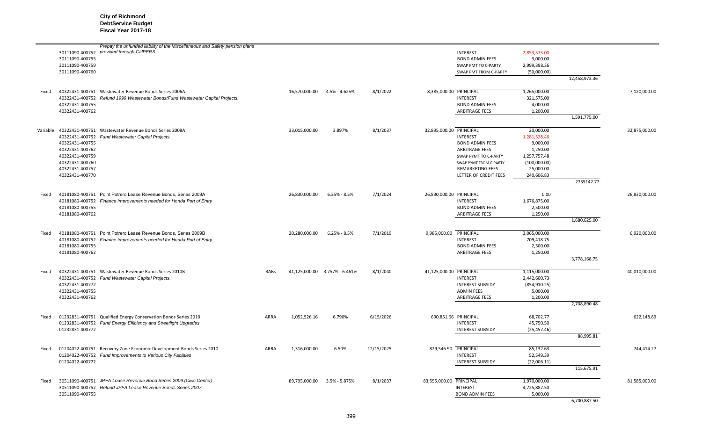**City of Richmond DebtService Budget Fiscal Year 2017-18** 

|       | 30111090-400755<br>30111090-400759<br>30111090-400760                                                          | Prepay the unfunded liability of the Miscellaneous and Safety pension plans<br>30111090-400752 provided through CalPERS.                |             |               |                                |            |                         | <b>INTEREST</b><br><b>BOND ADMIN FEES</b><br>SWAP PMT TO C-PARTY<br>SWAP PMT FROM C-PARTY                                                                         | 2,853,575.00<br>3,000.00<br>2,999,398.36<br>(50,000.00)                                                      |                            |               |
|-------|----------------------------------------------------------------------------------------------------------------|-----------------------------------------------------------------------------------------------------------------------------------------|-------------|---------------|--------------------------------|------------|-------------------------|-------------------------------------------------------------------------------------------------------------------------------------------------------------------|--------------------------------------------------------------------------------------------------------------|----------------------------|---------------|
|       |                                                                                                                |                                                                                                                                         |             |               |                                |            |                         |                                                                                                                                                                   |                                                                                                              | 12,458,973.36              |               |
| Fixed | 40322431-400755<br>40322431-400762                                                                             | 40322431-400751 Wastewater Revenue Bonds Series 2006A<br>40322431-400752 Refund 1999 Wastewater Bonds/Fund Wastewater Capital Projects. |             | 16,570,000.00 | 4.5% - 4.625%                  | 8/1/2022   |                         | 8,385,000.00 PRINCIPAL<br><b>INTEREST</b><br><b>BOND ADMIN FEES</b><br>ARBITRAGE FEES                                                                             | 1,265,000.00<br>321,575.00<br>4,000.00<br>1,200.00                                                           |                            | 7,120,000.00  |
|       |                                                                                                                |                                                                                                                                         |             |               |                                |            |                         |                                                                                                                                                                   |                                                                                                              | 1,591,775.00               |               |
|       | 40322431-400755<br>40322431-400762<br>40322431-400759<br>40322431-400760<br>40322431-400757<br>40322431-400770 | Variable 40322431-400751 Wastewater Revenue Bonds Series 2008A<br>40322431-400752 Fund Wastewater Capital Projects.                     |             | 33,015,000.00 | 3.897%                         | 8/1/2037   | 32,895,000.00 PRINCIPAL | <b>INTEREST</b><br><b>BOND ADMIN FEES</b><br>ARBITRAGE FEES<br>SWAP PYMT TO C-PARTY<br>SWAP PYMT FROM C-PARTY<br><b>REMARKETING FEES</b><br>LETTER OF CREDIT FEES | 20,000.00<br>1,281,528.46<br>9,000.00<br>1,250.00<br>1,257,757.48<br>(100,000.00)<br>25,000.00<br>240,606.83 | 2735142.77                 | 32,875,000.00 |
| Fixed | 40181080-400755<br>40181080-400762                                                                             | 40181080-400751 Point Potrero Lease Revenue Bonds, Series 2009A<br>40181080-400752 Finance Improvements needed for Honda Port of Entry  |             | 26,830,000.00 | $6.25% - 8.5%$                 | 7/1/2024   | 26,830,000.00 PRINCIPAL | <b>INTEREST</b><br><b>BOND ADMIN FEES</b><br><b>ARBITRAGE FEES</b>                                                                                                | 0.00<br>1,676,875.00<br>2,500.00<br>1,250.00                                                                 | 1,680,625.00               | 26,830,000.00 |
| Fixed | 40181080-400755<br>40181080-400762                                                                             | 40181080-400751 Point Potrero Lease Revenue Bonds, Series 2009B<br>40181080-400752 Finance Improvements needed for Honda Port of Entry  |             | 20,280,000.00 | $6.25% - 8.5%$                 | 7/1/2019   | 9,985,000.00            | PRINCIPAL<br><b>INTEREST</b><br><b>BOND ADMIN FEES</b><br>ARBITRAGE FEES                                                                                          | 3,065,000.00<br>709,418.75<br>2,500.00<br>1,250.00                                                           | 3,778,168.75               | 6,920,000.00  |
| Fixed | 40322431-400772<br>40322431-400755<br>40322431-400762                                                          | 40322431-400751 Wastewater Revenue Bonds Series 2010B<br>40322431-400752 Fund Wastewater Capital Projects.                              | <b>BABs</b> |               | 41,125,000.00  3.757% - 6.461% | 8/1/2040   | 41,125,000.00 PRINCIPAL | <b>INTEREST</b><br><b>INTEREST SUBSIDY</b><br><b>ADMIN FEES</b><br><b>ARBITRAGE FEES</b>                                                                          | 1,115,000.00<br>2,442,600.73<br>(854, 910.25)<br>5,000.00<br>1,200.00                                        | 2,708,890.48               | 40,010,000.00 |
| Fixed | 01232831-400772                                                                                                | 01232831-400751 Qualified Energy Conservation Bonds Series 2010<br>01232831-400752 Fund Energy Efficiency and Streetlight Upgrades      | ARRA        | 1,052,526.16  | 6.790%                         | 6/15/2026  |                         | 690,851.66 PRINCIPAL<br><b>INTEREST</b><br><b>INTEREST SUBSIDY</b>                                                                                                | 68,702.77<br>45,750.50<br>(25, 457.46)                                                                       | 88,995.81                  | 622,148.89    |
| Fixed | 01204022-400772                                                                                                | 01204022-400751 Recovery Zone Economic Development Bonds Series 2010<br>01204022-400752 Fund Improvements to Various City Facilities    | ARRA        | 1,316,000.00  | 6.50%                          | 12/15/2025 |                         | 829,546.90 PRINCIPAL<br><b>INTEREST</b><br><b>INTEREST SUBSIDY</b>                                                                                                | 85,132.63<br>52,549.39<br>(22,006.11)                                                                        |                            | 744,414.27    |
| Fixed | 30511090-400755                                                                                                | 30511090-400751 JPFA Lease Revenue Bond Series 2009 (Civic Center)<br>30511090-400752 Refund JPFA Lease Revenue Bonds Series 2007       |             |               | 89,795,000.00 3.5% - 5.875%    | 8/1/2037   | 83,555,000.00 PRINCIPAL | <b>INTEREST</b><br><b>BOND ADMIN FEES</b>                                                                                                                         | 1,970,000.00<br>4,725,887.50<br>5,000.00                                                                     | 115,675.91<br>6,700,887.50 | 81,585,000.00 |